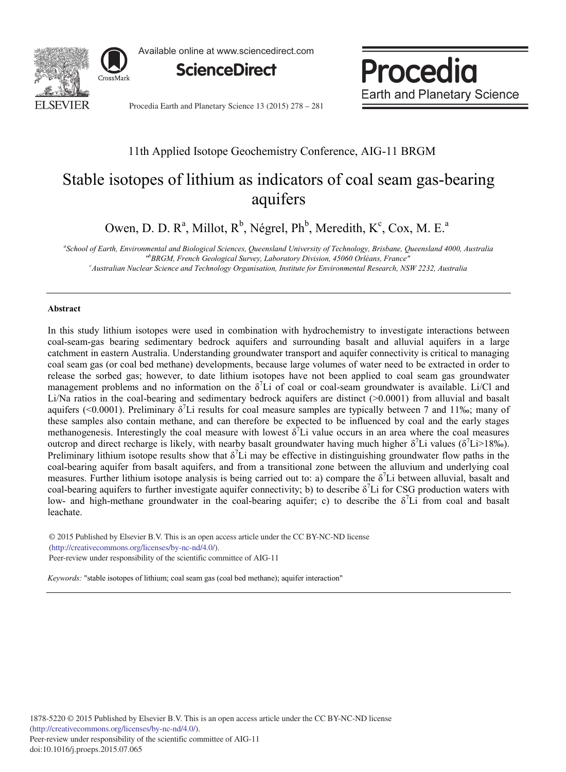

Available online at www.sciencedirect.com



Procedia **Earth and Planetary Science** 

Procedia Earth and Planetary Science 13 (2015) 278 - 281

# 11th Applied Isotope Geochemistry Conference, AIG-11 BRGM

# Stable isotopes of lithium as indicators of coal seam gas-bearing aquifers

Owen, D. D. R<sup>a</sup>, Millot, R<sup>b</sup>, Négrel, Ph<sup>b</sup>, Meredith, K<sup>c</sup>, Cox, M. E.<sup>a</sup>

*a School of Earth, Environmental and Biological Sciences, Queensland University of Technology, Brisbane, Queensland 4000, Australia "b BRGM, French Geological Survey, Laboratory Division, 45060 Orléans, France" c*

*Australian Nuclear Science and Technology Organisation, Institute for Environmental Research, NSW 2232, Australia* 

## **Abstract**

In this study lithium isotopes were used in combination with hydrochemistry to investigate interactions between coal-seam-gas bearing sedimentary bedrock aquifers and surrounding basalt and alluvial aquifers in a large catchment in eastern Australia. Understanding groundwater transport and aquifer connectivity is critical to managing coal seam gas (or coal bed methane) developments, because large volumes of water need to be extracted in order to release the sorbed gas; however, to date lithium isotopes have not been applied to coal seam gas groundwater management problems and no information on the  $\delta^7Li$  of coal or coal-seam groundwater is available. Li/Cl and Li/Na ratios in the coal-bearing and sedimentary bedrock aquifers are distinct (>0.0001) from alluvial and basalt aquifers (<0.0001). Preliminary  $\delta^7$ Li results for coal measure samples are typically between 7 and 11‰; many of these samples also contain methane, and can therefore be expected to be influenced by coal and the early stages methanogenesis. Interestingly the coal measure with lowest  $\delta^7$ Li value occurs in an area where the coal measures outcrop and direct recharge is likely, with nearby basalt groundwater having much higher δ<sup>7</sup>Li values (δ<sup>7</sup>Li>18‰). Preliminary lithium isotope results show that  $\delta^7$ Li may be effective in distinguishing groundwater flow paths in the coal-bearing aquifer from basalt aquifers, and from a transitional zone between the alluvium and underlying coal measures. Further lithium isotope analysis is being carried out to: a) compare the  $\delta^7$ Li between alluvial, basalt and coal-bearing aquifers to further investigate aquifer connectivity; b) to describe  $\delta^7$ Li for CSG production waters with low- and high-methane groundwater in the coal-bearing aquifer; c) to describe the  $\delta^7$ Li from coal and basalt leachate.

© 2015 Published by Elsevier B.V. This is an open access article under the CC BY-NC-ND license (http://creativecommons.org/licenses/by-nc-nd/4.0/). Peer-review under responsibility of the scientific committee of AIG-11.

*Keywords:* "stable isotopes of lithium; coal seam gas (coal bed methane); aquifer interaction"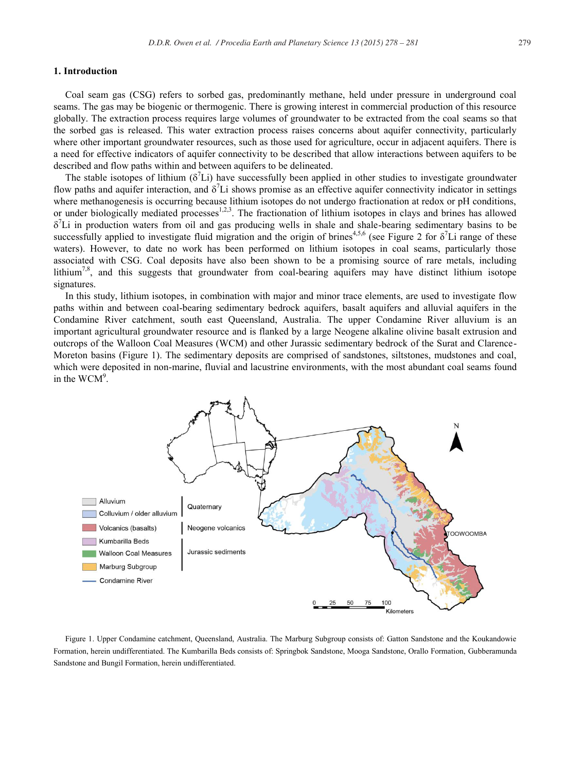#### **1. Introduction**

Coal seam gas (CSG) refers to sorbed gas, predominantly methane, held under pressure in underground coal seams. The gas may be biogenic or thermogenic. There is growing interest in commercial production of this resource globally. The extraction process requires large volumes of groundwater to be extracted from the coal seams so that the sorbed gas is released. This water extraction process raises concerns about aquifer connectivity, particularly where other important groundwater resources, such as those used for agriculture, occur in adjacent aquifers. There is a need for effective indicators of aquifer connectivity to be described that allow interactions between aquifers to be described and flow paths within and between aquifers to be delineated.

The stable isotopes of lithium  $(\delta^7 Li)$  have successfully been applied in other studies to investigate groundwater flow paths and aquifer interaction, and  $\delta^7$ Li shows promise as an effective aquifer connectivity indicator in settings where methanogenesis is occurring because lithium isotopes do not undergo fractionation at redox or pH conditions, or under biologically mediated processes<sup>1,2,3</sup>. The fractionation of lithium isotopes in clays and brines has allowed  $\delta^7$ Li in production waters from oil and gas producing wells in shale and shale-bearing sedimentary basins to be successfully applied to investigate fluid migration and the origin of brines<sup>4,5,6</sup> (see Figure 2 for  $\delta^7$ Li range of these waters). However, to date no work has been performed on lithium isotopes in coal seams, particularly those associated with CSG. Coal deposits have also been shown to be a promising source of rare metals, including lithium<sup>7,8</sup>, and this suggests that groundwater from coal-bearing aquifers may have distinct lithium isotope signatures.

In this study, lithium isotopes, in combination with major and minor trace elements, are used to investigate flow paths within and between coal-bearing sedimentary bedrock aquifers, basalt aquifers and alluvial aquifers in the Condamine River catchment, south east Queensland, Australia. The upper Condamine River alluvium is an important agricultural groundwater resource and is flanked by a large Neogene alkaline olivine basalt extrusion and outcrops of the Walloon Coal Measures (WCM) and other Jurassic sedimentary bedrock of the Surat and Clarence-Moreton basins (Figure 1). The sedimentary deposits are comprised of sandstones, siltstones, mudstones and coal, which were deposited in non-marine, fluvial and lacustrine environments, with the most abundant coal seams found in the WCM<sup>9</sup>.



Figure 1. Upper Condamine catchment, Queensland, Australia. The Marburg Subgroup consists of: Gatton Sandstone and the Koukandowie Formation, herein undifferentiated. The Kumbarilla Beds consists of: Springbok Sandstone, Mooga Sandstone, Orallo Formation, Gubberamunda Sandstone and Bungil Formation, herein undifferentiated.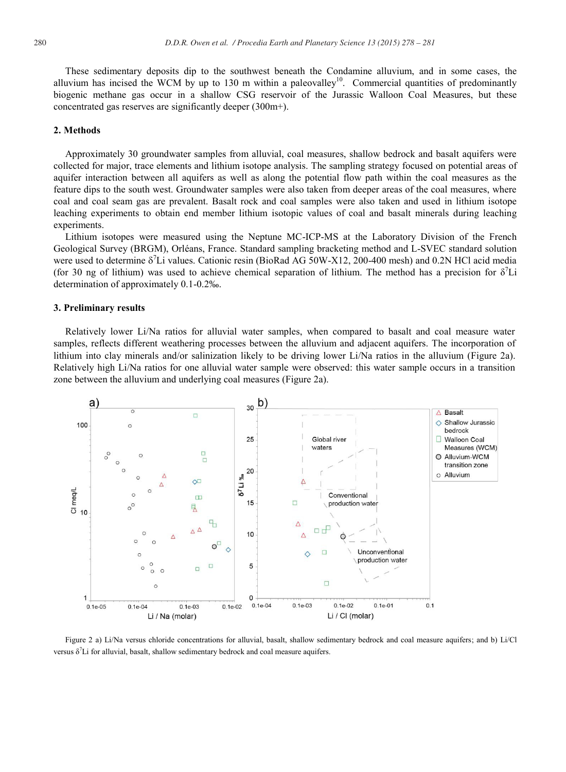These sedimentary deposits dip to the southwest beneath the Condamine alluvium, and in some cases, the alluvium has incised the WCM by up to 130 m within a paleovalley<sup>10</sup>. Commercial quantities of predominantly biogenic methane gas occur in a shallow CSG reservoir of the Jurassic Walloon Coal Measures, but these concentrated gas reserves are significantly deeper (300m+).

## **2. Methods**

Approximately 30 groundwater samples from alluvial, coal measures, shallow bedrock and basalt aquifers were collected for major, trace elements and lithium isotope analysis. The sampling strategy focused on potential areas of aquifer interaction between all aquifers as well as along the potential flow path within the coal measures as the feature dips to the south west. Groundwater samples were also taken from deeper areas of the coal measures, where coal and coal seam gas are prevalent. Basalt rock and coal samples were also taken and used in lithium isotope leaching experiments to obtain end member lithium isotopic values of coal and basalt minerals during leaching experiments.

Lithium isotopes were measured using the Neptune MC-ICP-MS at the Laboratory Division of the French Geological Survey (BRGM), Orléans, France. Standard sampling bracketing method and L-SVEC standard solution were used to determine  $\delta^7$ Li values. Cationic resin (BioRad AG 50W-X12, 200-400 mesh) and 0.2N HCl acid media (for 30 ng of lithium) was used to achieve chemical separation of lithium. The method has a precision for  $\delta^7$ Li determination of approximately 0.1-0.2‰.

#### **3. Preliminary results**

Relatively lower Li/Na ratios for alluvial water samples, when compared to basalt and coal measure water samples, reflects different weathering processes between the alluvium and adjacent aquifers. The incorporation of lithium into clay minerals and/or salinization likely to be driving lower Li/Na ratios in the alluvium (Figure 2a). Relatively high Li/Na ratios for one alluvial water sample were observed: this water sample occurs in a transition zone between the alluvium and underlying coal measures (Figure 2a).



Figure 2 a) Li/Na versus chloride concentrations for alluvial, basalt, shallow sedimentary bedrock and coal measure aquifers; and b) Li/Cl versus  $\delta^7$ Li for alluvial, basalt, shallow sedimentary bedrock and coal measure aquifers.